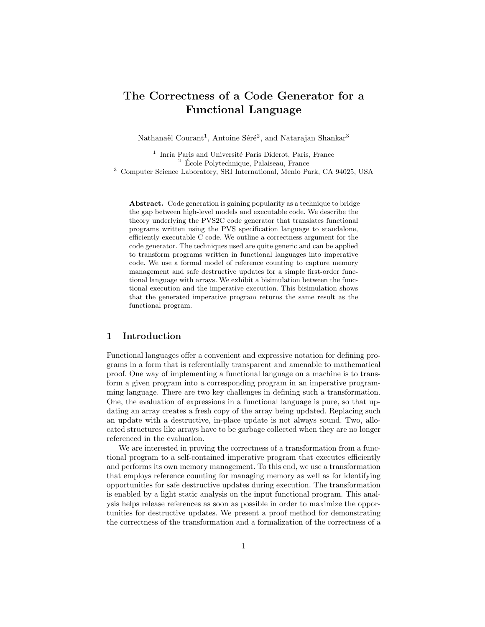# The Correctness of a Code Generator for a Functional Language

Nathanaël Courant<sup>1</sup>, Antoine Séré<sup>2</sup>, and Natarajan Shankar<sup>3</sup>

<sup>1</sup> Inria Paris and Université Paris Diderot, Paris, France  $^2$  École Polytechnique, Palaiseau, France <sup>3</sup> Computer Science Laboratory, SRI International, Menlo Park, CA 94025, USA

Abstract. Code generation is gaining popularity as a technique to bridge the gap between high-level models and executable code. We describe the theory underlying the PVS2C code generator that translates functional programs written using the PVS specification language to standalone, efficiently executable C code. We outline a correctness argument for the code generator. The techniques used are quite generic and can be applied to transform programs written in functional languages into imperative code. We use a formal model of reference counting to capture memory management and safe destructive updates for a simple first-order functional language with arrays. We exhibit a bisimulation between the functional execution and the imperative execution. This bisimulation shows that the generated imperative program returns the same result as the functional program.

## 1 Introduction

Functional languages offer a convenient and expressive notation for defining programs in a form that is referentially transparent and amenable to mathematical proof. One way of implementing a functional language on a machine is to transform a given program into a corresponding program in an imperative programming language. There are two key challenges in defining such a transformation. One, the evaluation of expressions in a functional language is pure, so that updating an array creates a fresh copy of the array being updated. Replacing such an update with a destructive, in-place update is not always sound. Two, allocated structures like arrays have to be garbage collected when they are no longer referenced in the evaluation.

We are interested in proving the correctness of a transformation from a functional program to a self-contained imperative program that executes efficiently and performs its own memory management. To this end, we use a transformation that employs reference counting for managing memory as well as for identifying opportunities for safe destructive updates during execution. The transformation is enabled by a light static analysis on the input functional program. This analysis helps release references as soon as possible in order to maximize the opportunities for destructive updates. We present a proof method for demonstrating the correctness of the transformation and a formalization of the correctness of a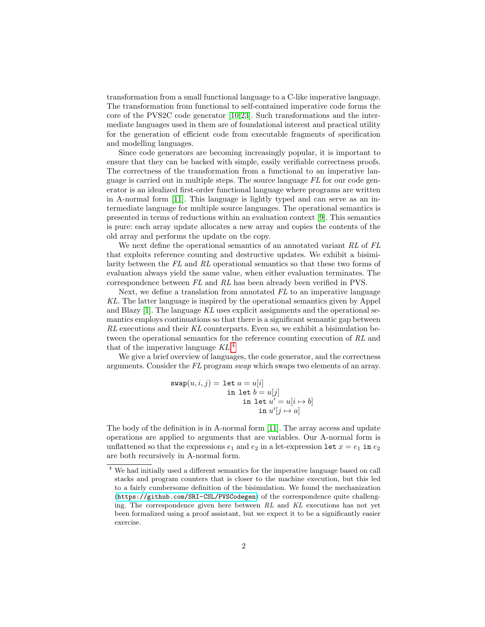transformation from a small functional language to a C-like imperative language. The transformation from functional to self-contained imperative code forms the core of the PVS2C code generator [\[10](#page-20-0)[,23\]](#page-21-0). Such transformations and the intermediate languages used in them are of foundational interest and practical utility for the generation of efficient code from executable fragments of specification and modelling languages.

Since code generators are becoming increasingly popular, it is important to ensure that they can be backed with simple, easily verifiable correctness proofs. The correctness of the transformation from a functional to an imperative language is carried out in multiple steps. The source language FL for our code generator is an idealized first-order functional language where programs are written in A-normal form [\[11\]](#page-20-1). This language is lightly typed and can serve as an intermediate language for multiple source languages. The operational semantics is presented in terms of reductions within an evaluation context [\[9\]](#page-20-2). This semantics is pure: each array update allocates a new array and copies the contents of the old array and performs the update on the copy.

We next define the operational semantics of an annotated variant RL of FL that exploits reference counting and destructive updates. We exhibit a bisimilarity between the FL and RL operational semantics so that these two forms of evaluation always yield the same value, when either evaluation terminates. The correspondence between FL and RL has been already been verified in PVS.

Next, we define a translation from annotated FL to an imperative language KL. The latter language is inspired by the operational semantics given by Appel and Blazy  $[1]$ . The language KL uses explicit assignments and the operational semantics employs continuations so that there is a significant semantic gap between RL executions and their KL counterparts. Even so, we exhibit a bisimulation between the operational semantics for the reference counting execution of RL and that of the imperative language  $KL<sup>4</sup>$  $KL<sup>4</sup>$  $KL<sup>4</sup>$ 

We give a brief overview of languages, the code generator, and the correctness arguments. Consider the FL program swap which swaps two elements of an array.

$$
\texttt{swap}(u, i, j) = \texttt{let } a = u[i]
$$
\n
$$
\texttt{in } \texttt{let } b = u[j]
$$
\n
$$
\texttt{in } \texttt{let } u' = u[i \mapsto b]
$$
\n
$$
\texttt{in } u'[j \mapsto a]
$$

The body of the definition is in A-normal form [\[11\]](#page-20-1). The array access and update operations are applied to arguments that are variables. Our A-normal form is unflattened so that the expressions  $e_1$  and  $e_2$  in a let-expression let  $x = e_1$  in  $e_2$ are both recursively in A-normal form.

<span id="page-1-0"></span><sup>4</sup> We had initially used a different semantics for the imperative language based on call stacks and program counters that is closer to the machine execution, but this led to a fairly cumbersome definition of the bisimulation. We found the mechanization (<https://github.com/SRI-CSL/PVSCodegen>) of the correspondence quite challenging. The correspondence given here between RL and KL executions has not yet been formalized using a proof assistant, but we expect it to be a significantly easier exercise.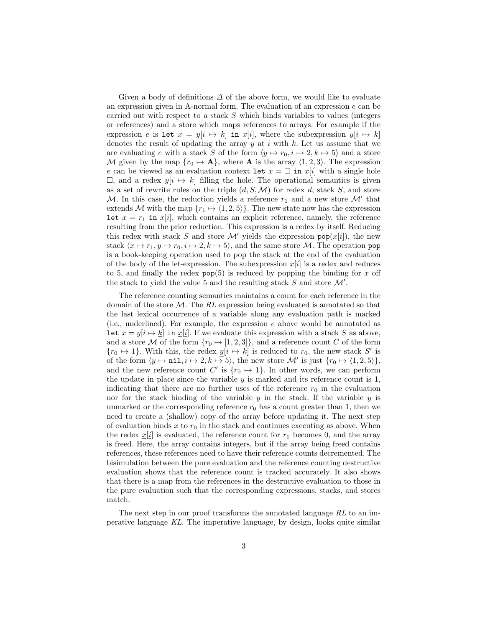Given a body of definitions  $\Delta$  of the above form, we would like to evaluate an expression given in A-normal form. The evaluation of an expression  $e$  can be carried out with respect to a stack S which binds variables to values (integers or references) and a store which maps references to arrays. For example if the expression e is let  $x = y[i \mapsto k]$  in  $x[i]$ , where the subexpression  $y[i \mapsto k]$ denotes the result of updating the array  $y$  at  $i$  with  $k$ . Let us assume that we are evaluating e with a stack S of the form  $\langle y \mapsto r_0, i \mapsto 2, k \mapsto 5 \rangle$  and a store M given by the map  $\{r_0 \mapsto \mathbf{A}\}\,$ , where  $\mathbf{A}$  is the array  $\langle 1, 2, 3 \rangle$ . The expression e can be viewed as an evaluation context let  $x = \Box$  in  $x[i]$  with a single hole  $\Box$ , and a redex  $y[i \mapsto k]$  filling the hole. The operational semantics is given as a set of rewrite rules on the triple  $(d, S, M)$  for redex d, stack S, and store M. In this case, the reduction yields a reference  $r_1$  and a new store M' that extends M with the map  $\{r_1 \mapsto \langle 1, 2, 5 \rangle\}$ . The new state now has the expression let  $x = r_1$  in  $x[i]$ , which contains an explicit reference, namely, the reference resulting from the prior reduction. This expression is a redex by itself. Reducing this redex with stack S and store  $\mathcal{M}'$  yields the expression  $\text{pop}(x[i])$ , the new stack  $\langle x \mapsto r_1, y \mapsto r_0, i \mapsto 2, k \mapsto 5 \rangle$ , and the same store M. The operation pop is a book-keeping operation used to pop the stack at the end of the evaluation of the body of the let-expression. The subexpression  $x[i]$  is a redex and reduces to 5, and finally the redex  $\text{pop}(5)$  is reduced by popping the binding for x off the stack to yield the value 5 and the resulting stack  $S$  and store  $\mathcal{M}'$ .

The reference counting semantics maintains a count for each reference in the domain of the store  $M$ . The RL expression being evaluated is annotated so that the last lexical occurrence of a variable along any evaluation path is marked (i.e., underlined). For example, the expression  $e$  above would be annotated as let  $x = y[i \mapsto k]$  in  $\underline{x}[i]$ . If we evaluate this expression with a stack S as above, and a store M of the form  $\{r_0 \mapsto [1, 2, 3]\}$ , and a reference count C of the form  ${r_0 \mapsto 1}$ . With this, the redex  $y[i \mapsto \underline{k}]$  is reduced to  $r_0$ , the new stack S' is of the form  $\langle y \mapsto \texttt{nil}, i \mapsto 2, k \mapsto 5 \rangle$ , the new store M' is just  $\{r_0 \mapsto \langle 1, 2, 5 \rangle\},\$ and the new reference count C' is  $\{r_0 \mapsto 1\}$ . In other words, we can perform the update in place since the variable  $y$  is marked and its reference count is 1, indicating that there are no further uses of the reference  $r_0$  in the evaluation nor for the stack binding of the variable  $y$  in the stack. If the variable  $y$  is unmarked or the corresponding reference  $r_0$  has a count greater than 1, then we need to create a (shallow) copy of the array before updating it. The next step of evaluation binds x to  $r_0$  in the stack and continues executing as above. When the redex  $\underline{x}[i]$  is evaluated, the reference count for  $r_0$  becomes 0, and the array is freed. Here, the array contains integers, but if the array being freed contains references, these references need to have their reference counts decremented. The bisimulation between the pure evaluation and the reference counting destructive evaluation shows that the reference count is tracked accurately. It also shows that there is a map from the references in the destructive evaluation to those in the pure evaluation such that the corresponding expressions, stacks, and stores match.

The next step in our proof transforms the annotated language  $RL$  to an imperative language KL. The imperative language, by design, looks quite similar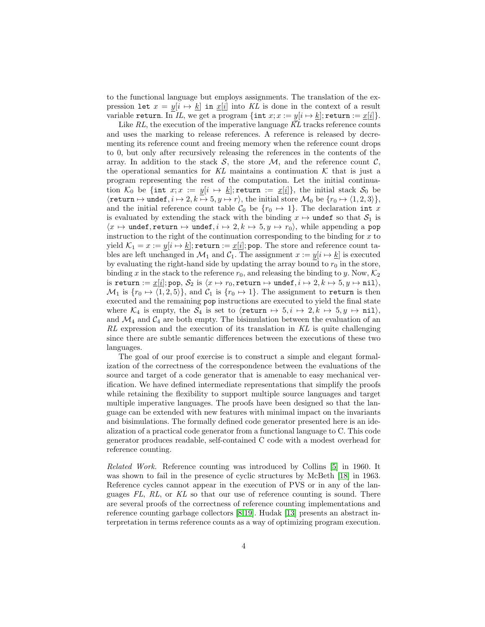to the functional language but employs assignments. The translation of the expression let  $x = y[i \mapsto k]$  in  $x[i]$  into KL is done in the context of a result variable return. In IL, we get a program  $\{\text{int } x; x := y[i \mapsto \underline{k}]; \text{return } := \underline{x}[i]\}.$ 

Like  $RL$ , the execution of the imperative language  $KL$  tracks reference counts and uses the marking to release references. A reference is released by decrementing its reference count and freeing memory when the reference count drops to 0, but only after recursively releasing the references in the contents of the array. In addition to the stack S, the store  $M$ , and the reference count  $C$ , the operational semantics for KL maintains a continuation  $K$  that is just a program representing the rest of the computation. Let the initial continuation  $\mathcal{K}_0$  be {int  $x; x := y[i \mapsto \underline{k}]$ ; return :=  $\underline{x}[i]$ }, the initial stack  $\mathcal{S}_0$  be  $\langle \texttt{return} \mapsto \texttt{under}, i \mapsto 2, k \mapsto 5, y \mapsto r \rangle$ , the initial store  $\mathcal{M}_0$  be  $\{r_0 \mapsto \langle 1, 2, 3 \rangle\},$ and the initial reference count table  $C_0$  be  $\{r_0 \mapsto 1\}$ . The declaration int x is evaluated by extending the stack with the binding  $x \mapsto$  undef so that  $S_1$  is  $\langle x \mapsto \text{under}, \text{return} \mapsto \text{under}, i \mapsto 2, k \mapsto 5, y \mapsto r_0 \rangle$ , while appending a pop instruction to the right of the continuation corresponding to the binding for  $x$  to yield  $\mathcal{K}_1 = x := y[i \mapsto \underline{k}] ;$ return :=  $\underline{x}[i];$  pop. The store and reference count tables are left unchanged in  $\mathcal{M}_1$  and  $\mathcal{C}_1$ . The assignment  $x := y[i \mapsto \underline{k}]$  is executed by evaluating the right-hand side by updating the array bound to  $r_0$  in the store, binding x in the stack to the reference  $r_0$ , and releasing the binding to y. Now,  $\mathcal{K}_2$ is return :=  $\underline{x}[i]$ ; pop,  $S_2$  is  $\langle x \mapsto r_0$ , return  $\mapsto$  undef,  $i \mapsto 2, k \mapsto 5, y \mapsto \texttt{nil} \rangle$ ,  $\mathcal{M}_1$  is  $\{r_0 \mapsto \langle 1, 2, 5 \rangle\}$ , and  $\mathcal{C}_1$  is  $\{r_0 \mapsto 1\}$ . The assignment to return is then executed and the remaining pop instructions are executed to yield the final state where  $\mathcal{K}_4$  is empty, the  $\mathcal{S}_4$  is set to  $\langle \text{return } \mapsto 5, i \mapsto 2, k \mapsto 5, y \mapsto \text{nil} \rangle$ , and  $\mathcal{M}_4$  and  $\mathcal{C}_4$  are both empty. The bisimulation between the evaluation of an RL expression and the execution of its translation in KL is quite challenging since there are subtle semantic differences between the executions of these two languages.

The goal of our proof exercise is to construct a simple and elegant formalization of the correctness of the correspondence between the evaluations of the source and target of a code generator that is amenable to easy mechanical verification. We have defined intermediate representations that simplify the proofs while retaining the flexibility to support multiple source languages and target multiple imperative languages. The proofs have been designed so that the language can be extended with new features with minimal impact on the invariants and bisimulations. The formally defined code generator presented here is an idealization of a practical code generator from a functional language to C. This code generator produces readable, self-contained C code with a modest overhead for reference counting.

Related Work. Reference counting was introduced by Collins [\[5\]](#page-20-4) in 1960. It was shown to fail in the presence of cyclic structures by McBeth [\[18\]](#page-21-1) in 1963. Reference cycles cannot appear in the execution of PVS or in any of the languages FL, RL, or KL so that our use of reference counting is sound. There are several proofs of the correctness of reference counting implementations and reference counting garbage collectors [\[8,](#page-20-5)[19\]](#page-21-2). Hudak [\[13\]](#page-20-6) presents an abstract interpretation in terms reference counts as a way of optimizing program execution.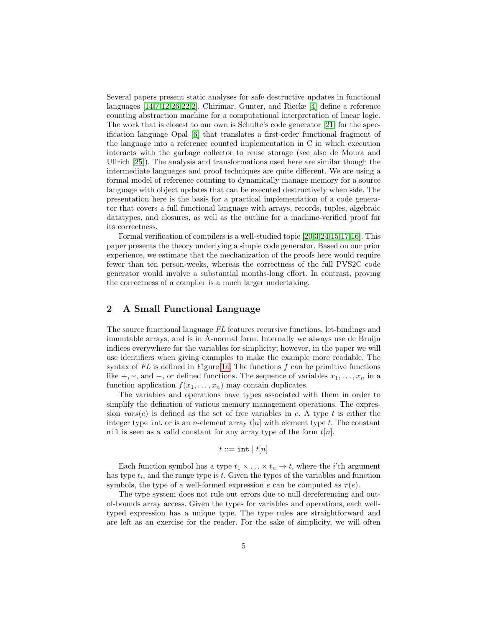Several papers present static analyses for safe destructive updates in functional languages [\[14](#page-20-7)[,7,](#page-20-8)[12](#page-20-9)[,26](#page-21-3)[,22,](#page-21-4)[2\]](#page-20-10). Chirimar, Gunter, and Riecke [\[4\]](#page-20-11) define a reference counting abstraction machine for a computational interpretation of linear logic. The work that is closest to our own is Schulte's code generator [\[21\]](#page-21-5) for the specification language Opal [\[6\]](#page-20-12) that translates a first-order functional fragment of the language into a reference counted implementation in C in which execution interacts with the garbage collector to reuse storage (see also de Moura and Ullrich [\[25\]](#page-21-6)). The analysis and transformations used here are similar though the intermediate languages and proof techniques are quite different. We are using a formal model of reference counting to dynamically manage memory for a source language with object updates that can be executed destructively when safe. The presentation here is the basis for a practical implementation of a code generator that covers a full functional language with arrays, records, tuples, algebraic datatypes, and closures, as well as the outline for a machine-verified proof for its correctness.

Formal verification of compilers is a well-studied topic [\[20,](#page-21-7)[3,](#page-20-13)[24,](#page-21-8)[15,](#page-21-9)[17](#page-21-10)[,16\]](#page-21-11). This paper presents the theory underlying a simple code generator. Based on our prior experience, we estimate that the mechanization of the proofs here would require fewer than ten person-weeks, whereas the correctness of the full PVS2C code generator would involve a substantial months-long effort. In contrast, proving the correctness of a compiler is a much larger undertaking.

## 2 A Small Functional Language

The source functional language FL features recursive functions, let-bindings and immutable arrays, and is in A-normal form. Internally we always use de Bruijn indices everywhere for the variables for simplicity; however, in the paper we will use identifiers when giving examples to make the example more readable. The syntax of  $FL$  is defined in Figure [1a.](#page-5-0) The functions  $f$  can be primitive functions like +,  $*$ , and -, or defined functions. The sequence of variables  $x_1, \ldots, x_n$  in a function application  $f(x_1, \ldots, x_n)$  may contain duplicates.

The variables and operations have types associated with them in order to simplify the definition of various memory management operations. The expression  $vars(e)$  is defined as the set of free variables in e. A type t is either the integer type int or is an *n*-element array  $t[n]$  with element type t. The constant nil is seen as a valid constant for any array type of the form  $t[n]$ .

 $t ::= \texttt{int} | t[n]$ 

Each function symbol has a type  $t_1 \times \ldots \times t_n \to t$ , where the *i*'th argument has type  $t_i$ , and the range type is  $t$ . Given the types of the variables and function symbols, the type of a well-formed expression e can be computed as  $\tau(e)$ .

The type system does not rule out errors due to null dereferencing and outof-bounds array access. Given the types for variables and operations, each welltyped expression has a unique type. The type rules are straightforward and are left as an exercise for the reader. For the sake of simplicity, we will often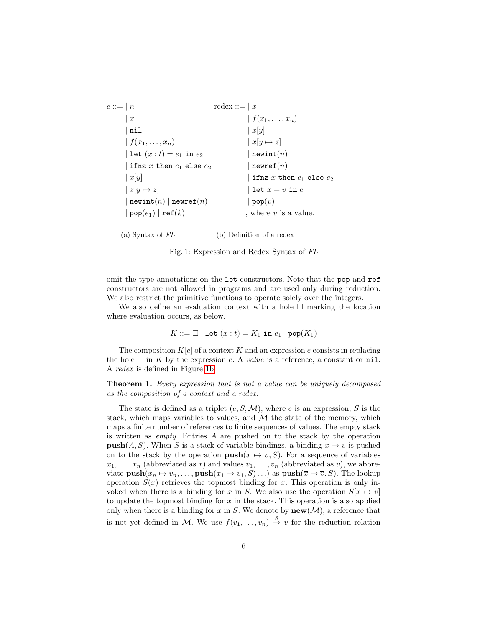<span id="page-5-0"></span> $e ::= | n$  $\mid x$ | nil  $| f(x_1, \ldots, x_n)|$ | let  $(x : t) = e_1$  in  $e_2$ | ifnz  $x$  then  $e_1$  else  $e_2$  $\vert x[y]$  $|x|y \mapsto z|$  $\vert$  newint $(n)$   $\vert$  newref $(n)$  $|$  pop $(e_1)$   $|$  ref $(k)$ redex  $:= | x$  $| f(x_1, \ldots, x_n)|$  $\vert x[y]$  $|x|y \mapsto z|$ | newint $(n)$ | newref $(n)$ | ifnz  $x$  then  $e_1$  else  $e_2$ | let  $x = v$  in  $e$  $|$  pop $(v)$ , where  $v$  is a value.

(a) Syntax of FL

(b) Definition of a redex

Fig. 1: Expression and Redex Syntax of FL

omit the type annotations on the let constructors. Note that the pop and ref constructors are not allowed in programs and are used only during reduction. We also restrict the primitive functions to operate solely over the integers.

We also define an evaluation context with a hole  $\Box$  marking the location where evaluation occurs, as below.

$$
K ::= \Box | \text{ let } (x:t) = K_1 \text{ in } e_1 | \text{ pop}(K_1)
$$

The composition  $K[e]$  of a context K and an expression e consists in replacing the hole  $\square$  in K by the expression e. A value is a reference, a constant or nil. A redex is defined in Figure [1b.](#page-5-0)

Theorem 1. Every expression that is not a value can be uniquely decomposed as the composition of a context and a redex.

The state is defined as a triplet  $(e, S, M)$ , where e is an expression, S is the stack, which maps variables to values, and  $\mathcal M$  the state of the memory, which maps a finite number of references to finite sequences of values. The empty stack is written as *empty*. Entries  $\tilde{A}$  are pushed on to the stack by the operation **push** $(A, S)$ . When S is a stack of variable bindings, a binding  $x \mapsto v$  is pushed on to the stack by the operation  $\text{push}(x \mapsto v, S)$ . For a sequence of variables  $x_1, \ldots, x_n$  (abbreviated as  $\overline{x}$ ) and values  $v_1, \ldots, v_n$  (abbreviated as  $\overline{v}$ ), we abbreviate  $\text{push}(x_n \mapsto v_n, \dots, \text{push}(x_1 \mapsto v_1, S) \dots)$  as  $\text{push}(\overline{x} \mapsto \overline{v}, S)$ . The lookup operation  $S(x)$  retrieves the topmost binding for x. This operation is only invoked when there is a binding for x in S. We also use the operation  $S[x \mapsto v]$ to update the topmost binding for  $x$  in the stack. This operation is also applied only when there is a binding for x in S. We denote by  $\mathbf{new}(\mathcal{M})$ , a reference that is not yet defined in M. We use  $f(v_1,\ldots,v_n) \stackrel{\delta}{\to} v$  for the reduction relation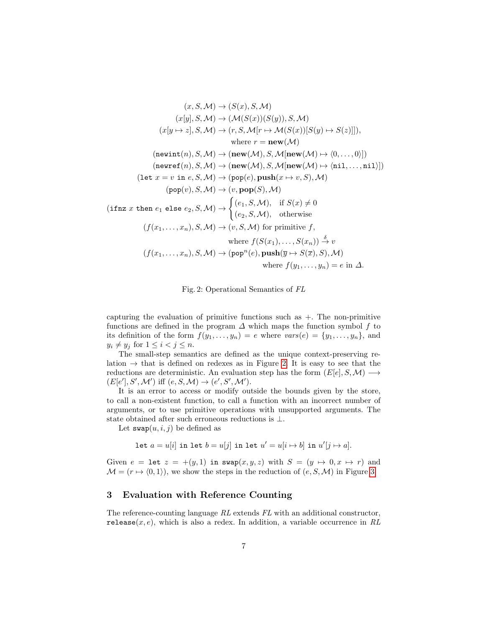<span id="page-6-0"></span>
$$
(x, S, M) \rightarrow (S(x), S, M)
$$

$$
(x[y], S, M) \rightarrow (M(S(x))(S(y)), S, M)
$$

$$
(x[y \mapsto z], S, M) \rightarrow (r, S, M[r \mapsto M(S(x))[S(y) \mapsto S(z)]]),
$$
where  $r = \text{new}(M)$ 
$$
(\text{newint}(n), S, M) \rightarrow (\text{new}(M), S, M[\text{new}(M) \mapsto \langle 0, ..., 0 \rangle])
$$

$$
(\text{newref}(n), S, M) \rightarrow (\text{new}(M), S, M[\text{new}(M) \mapsto \langle \text{nil}, ..., \text{nil} \rangle])
$$

$$
(\text{let } x = v \text{ in } e, S, M) \rightarrow (\text{pop}(e), \text{push}(x \mapsto v, S), M)
$$

$$
(\text{pop}(v), S, M) \rightarrow (v, \text{pop}(S), M)
$$

$$
(\text{ifnz } x \text{ then } e_1 \text{ else } e_2, S, M) \rightarrow \begin{cases} (e_1, S, M), & \text{if } S(x) \neq 0 \\ (e_2, S, M), & \text{otherwise} \end{cases}
$$

$$
(f(x_1, \ldots, x_n), S, M) \rightarrow (v, S, M) \text{ for primitive } f, \text{where } f(S(x_1), \ldots, S(x_n)) \xrightarrow{\delta} v
$$

$$
(f(x_1, \ldots, x_n), S, M) \rightarrow (\text{pop}^n(e), \text{push}(\overline{y} \mapsto S(\overline{x}), S), M)
$$
where  $f(y_1, \ldots, y_n) = e \text{ in } \Delta$ .

Fig. 2: Operational Semantics of FL

capturing the evaluation of primitive functions such as  $+$ . The non-primitive functions are defined in the program  $\Delta$  which maps the function symbol f to its definition of the form  $f(y_1, \ldots, y_n) = e$  where  $vars(e) = \{y_1, \ldots, y_n\}$ , and  $y_i \neq y_j$  for  $1 \leq i < j \leq n$ .

The small-step semantics are defined as the unique context-preserving relation  $\rightarrow$  that is defined on redexes as in Figure [2.](#page-6-0) It is easy to see that the reductions are deterministic. An evaluation step has the form  $(E[e], S, M) \longrightarrow$  $(E[e'], S', \mathcal{M}')$  iff  $(e, S, \mathcal{M}) \rightarrow (e', S', \mathcal{M}').$ 

It is an error to access or modify outside the bounds given by the store, to call a non-existent function, to call a function with an incorrect number of arguments, or to use primitive operations with unsupported arguments. The state obtained after such erroneous reductions is ⊥.

Let  $\texttt{swap}(u, i, j)$  be defined as

let 
$$
a = u[i]
$$
 in let  $b = u[j]$  in let  $u' = u[i \mapsto b]$  in  $u'[j \mapsto a]$ .

Given  $e = \text{let } z = +(y, 1)$  in swap $(x, y, z)$  with  $S = (y \mapsto 0, x \mapsto r)$  and  $\mathcal{M} = (r \mapsto \langle 0, 1 \rangle)$ , we show the steps in the reduction of  $(e, S, \mathcal{M})$  in Figure [3.](#page-7-0)

#### 3 Evaluation with Reference Counting

The reference-counting language RL extends FL with an additional constructor, release $(x, e)$ , which is also a redex. In addition, a variable occurrence in RL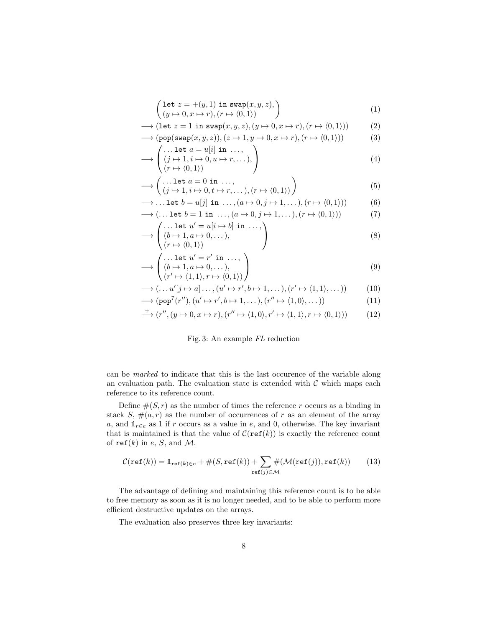$$
\begin{pmatrix} \text{let } z = +(y, 1) \text{ in } \text{swap}(x, y, z), \\ (y \mapsto 0, x \mapsto r), (r \mapsto \langle 0, 1 \rangle) \end{pmatrix}
$$
 (1)

<span id="page-7-0"></span>
$$
\longrightarrow (\text{let } z = 1 \text{ in } \text{swap}(x, y, z), (y \mapsto 0, x \mapsto r), (r \mapsto \langle 0, 1 \rangle))
$$
 (2)

$$
\longrightarrow (pop(swap(x,y,z)), (z \mapsto 1, y \mapsto 0, x \mapsto r), (r \mapsto \langle 0,1 \rangle))
$$
 (3)

$$
\longrightarrow\n \begin{pmatrix}\n \ldots \text{let } a = u[i] \text{ in } \ldots, \\
 (j \mapsto 1, i \mapsto 0, u \mapsto r, \ldots), \\
 (r \mapsto \langle 0, 1 \rangle)\n \end{pmatrix}
$$
\n(4)

$$
\longrightarrow \left( \begin{array}{c} \dots \texttt{let } a = 0 \text{ in } \dots, \\ (j \mapsto 1, i \mapsto 0, t \mapsto r, \dots), (r \mapsto \langle 0, 1 \rangle) \end{array} \right) \tag{5}
$$

$$
\longrightarrow \dots \text{let } b = u[j] \text{ in } \dots, (a \mapsto 0, j \mapsto 1, \dots), (r \mapsto \langle 0, 1 \rangle)) \tag{6}
$$

$$
\longrightarrow (\dots \text{let } b = 1 \text{ in } \dots, (a \mapsto 0, j \mapsto 1, \dots), (r \mapsto \langle 0, 1 \rangle))
$$
 (7)

$$
\longrightarrow\n \begin{pmatrix}\n \ldots \text{let } u' = u[i \rightarrow b] \text{ in } \ldots, \\
 (b \rightarrow 1, a \rightarrow 0, \ldots), \\
 (r \rightarrow \langle 0, 1 \rangle)\n \end{pmatrix}
$$
\n(8)

$$
\longrightarrow\n \begin{pmatrix}\n \ldots \text{let } u' = r' \text{ in } \ldots, \\
 (b \mapsto 1, a \mapsto 0, \ldots), \\
 (r' \mapsto \langle 1, 1 \rangle, r \mapsto \langle 0, 1 \rangle)\n \end{pmatrix}
$$
\n(9)

$$
\longrightarrow (\dots u'[j \mapsto a] \dots, (u' \mapsto r', b \mapsto 1, \dots), (r' \mapsto \langle 1, 1 \rangle, \dots)) \tag{10}
$$

$$
\longrightarrow (pop7(r''), (u' \mapsto r', b \mapsto 1, \dots), (r'' \mapsto \langle 1, 0 \rangle, \dots))
$$
\n(11)

$$
\stackrel{+}{\longrightarrow} (r'', (y \mapsto 0, x \mapsto r), (r'' \mapsto \langle 1, 0 \rangle, r' \mapsto \langle 1, 1 \rangle, r \mapsto \langle 0, 1 \rangle)) \tag{12}
$$

<span id="page-7-1"></span>Fig. 3: An example FL reduction

can be marked to indicate that this is the last occurence of the variable along an evaluation path. The evaluation state is extended with  $\mathcal C$  which maps each reference to its reference count.

Define  $\#(S,r)$  as the number of times the reference r occurs as a binding in stack S,  $\#(a,r)$  as the number of occurrences of r as an element of the array a, and  $\mathbb{1}_{r\in e}$  as 1 if r occurs as a value in e, and 0, otherwise. The key invariant that is maintained is that the value of  $C(\text{ref}(k))$  is exactly the reference count of  $\texttt{ref}(k)$  in e, S, and M.

$$
\mathcal{C}(\mathbf{ref}(k)) = \mathbb{1}_{\mathbf{ref}(k)\in e} + \#(S, \mathbf{ref}(k)) + \sum_{\mathbf{ref}(j)\in \mathcal{M}} \#(\mathcal{M}(\mathbf{ref}(j)), \mathbf{ref}(k)) \tag{13}
$$

The advantage of defining and maintaining this reference count is to be able to free memory as soon as it is no longer needed, and to be able to perform more efficient destructive updates on the arrays.

The evaluation also preserves three key invariants: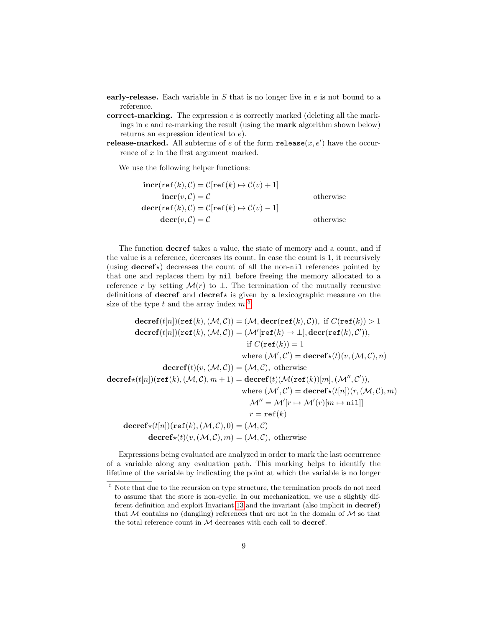early-release. Each variable in  $S$  that is no longer live in  $e$  is not bound to a reference.

- correct-marking. The expression  $e$  is correctly marked (deleting all the markings in  $e$  and re-marking the result (using the **mark** algorithm shown below) returns an expression identical to e).
- release-marked. All subterms of  $e$  of the form release $(x, e')$  have the occurrence of  $x$  in the first argument marked.

We use the following helper functions:

$$
incr(ref(k), C) = C[ref(k) \mapsto C(v) + 1]
$$
  
\n
$$
incr(v, C) = C
$$
  
\n
$$
decr(ref(k), C) = C[ref(k) \mapsto C(v) - 1]
$$
  
\n
$$
decr(v, C) = C
$$
  
\notherwise  
\notherwise  
\notherwise

The function decref takes a value, the state of memory and a count, and if the value is a reference, decreases its count. In case the count is 1, it recursively (using  $\text{decref}\star$ ) decreases the count of all the non-nil references pointed by that one and replaces them by nil before freeing the memory allocated to a reference r by setting  $\mathcal{M}(r)$  to  $\perp$ . The termination of the mutually recursive definitions of **decref** and **decref** $\star$  is given by a lexicographic measure on the size of the type t and the array index  $m<sup>5</sup>$  $m<sup>5</sup>$  $m<sup>5</sup>$ 

$$
\begin{aligned}\n\text{decref}(t[n])(\text{ref}(k),(\mathcal{M},\mathcal{C})) &= (\mathcal{M},\text{decr}(\text{ref}(k),\mathcal{C})), \text{ if } C(\text{ref}(k)) > 1 \\
\text{decref}(t[n])(\text{ref}(k),(\mathcal{M},\mathcal{C})) &= (\mathcal{M}'[\text{ref}(k) \mapsto \bot],\text{decr}(\text{ref}(k),\mathcal{C}')), \\
&\text{ if } C(\text{ref}(k)) = 1 \\
&\text{ where } (\mathcal{M}',\mathcal{C}') = \text{decrf} \star(t)(v,(\mathcal{M},\mathcal{C}),n) \\
\text{decref} \star(t[n])(\text{ref}(k),(\mathcal{M},\mathcal{C}),m+1) &= \text{decrf}(t)(\mathcal{M}(\text{ref}(k))[m],(\mathcal{M}'',\mathcal{C}')), \\
&\text{ where } (\mathcal{M}',\mathcal{C}') = \text{decrf} \star(t[n])(r,(\mathcal{M},\mathcal{C}),m) \\
&\mathcal{M}'' = \mathcal{M}'[r \mapsto \mathcal{M}'(r)[m \mapsto \text{nil}]] \\
&\quad r = \text{ref}(k) \\
\text{decref} \star(t[n])(\text{ref}(k),(\mathcal{M},\mathcal{C}),0) &= (\mathcal{M},\mathcal{C}) \\
&\text{decref} \star(t(v),(\mathcal{M},\mathcal{C}),m) &= (\mathcal{M},\mathcal{C}), \text{ otherwise}\n\end{aligned}
$$

Expressions being evaluated are analyzed in order to mark the last occurrence of a variable along any evaluation path. This marking helps to identify the lifetime of the variable by indicating the point at which the variable is no longer

<span id="page-8-0"></span><sup>&</sup>lt;sup>5</sup> Note that due to the recursion on type structure, the termination proofs do not need to assume that the store is non-cyclic. In our mechanization, we use a slightly different definition and exploit Invariant [13](#page-7-1) and the invariant (also implicit in decref) that  $M$  contains no (dangling) references that are not in the domain of  $M$  so that the total reference count in  $M$  decreases with each call to **decref**.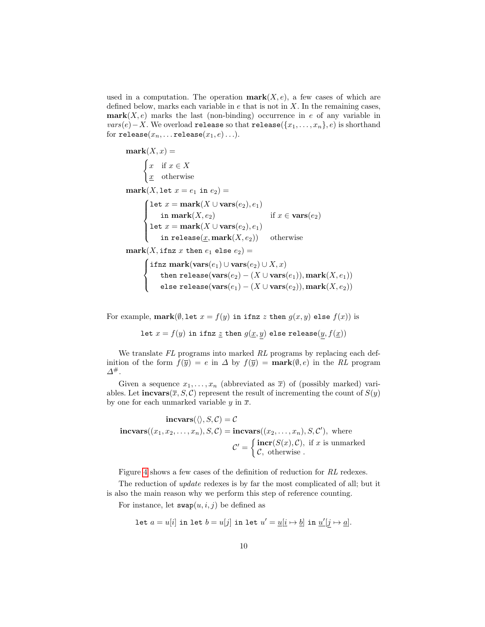used in a computation. The operation  $\text{mark}(X, e)$ , a few cases of which are defined below, marks each variable in  $e$  that is not in  $X$ . In the remaining cases,  $mark(X, e)$  marks the last (non-binding) occurrence in e of any variable in  $vars(e)-X$ . We overload release so that release( ${x_1, \ldots, x_n}, e$ ) is shorthand for release $(x_n, \ldots$  release $(x_1, e) \ldots$ ).

 $\operatorname{mark}(X, x) =$  $\int x$  if  $x \in X$  $\underline{x}$  otherwise  $\operatorname{mark}(X, \text{let } x = e_1 \text{ in } e_2) =$  $\sqrt{ }$  $\int$  $\overline{\mathcal{L}}$ let  $x = \text{mark}(X \cup \text{vars}(e_2), e_1)$ in mark $(X, e_2)$  if  $x \in \mathbf{vars}(e_2)$ let  $x = \text{mark}(X \cup \text{vars}(e_2), e_1)$ in release $(\underline{x}, \textbf{mark}(X, e_2))$  otherwise  $mark(X, \text{ifnz } x \text{ then } e_1 \text{ else } e_2) =$  $\sqrt{ }$  $\int$  $\mathcal{L}$ ifnz  $\mathrm{mark}( \mathrm{vars}(e_1) \cup \mathrm{vars}(e_2) \cup X, x)$ then release $(\mathbf{vars}(e_2)-(X\cup \mathbf{vars}(e_1)), \mathbf{mark}(X, e_1))$ else release $(\mathbf{vars}(e_1)-(X\cup \mathbf{vars}(e_2)), \mathbf{mark}(X, e_2))$ 

For example, **mark** $(\emptyset, \text{let } x = f(y) \text{ in } \text{if } \text{nz } z \text{ then } g(x, y) \text{ else } f(x))$  is

let  $x = f(y)$  in ifnz  $\underline{z}$  then  $g(\underline{x}, y)$  else release $(y, f(\underline{x}))$ 

We translate FL programs into marked RL programs by replacing each definition of the form  $f(\bar{y}) = e$  in  $\Delta$  by  $f(\bar{y}) = \text{mark}(\emptyset, e)$  in the RL program  $\Delta^{\#}$ .

Given a sequence  $x_1, \ldots, x_n$  (abbreviated as  $\overline{x}$ ) of (possibly marked) variables. Let  $\mathbf{incvars}(\overline{x}, S, C)$  represent the result of incrementing the count of  $S(y)$ by one for each unmarked variable y in  $\bar{x}$ .

$$
\mathbf{incvars}(\langle \rangle, S, C) = C
$$
\n
$$
\mathbf{incvars}((x_1, x_2, \dots, x_n), S, C) = \mathbf{incvars}((x_2, \dots, x_n), S, C'), \text{ where}
$$
\n
$$
C' = \begin{cases} \mathbf{incr}(S(x), C), & \text{if } x \text{ is unmarked} \\ C, & \text{otherwise} \end{cases}
$$

Figure [4](#page-10-0) shows a few cases of the definition of reduction for RL redexes.

The reduction of update redexes is by far the most complicated of all; but it is also the main reason why we perform this step of reference counting.

For instance, let  $\text{swap}(u, i, j)$  be defined as

let 
$$
a = u[i]
$$
 in let  $b = u[j]$  in let  $u' = \underline{u}[i \mapsto \underline{b}]$  in  $\underline{u'}[j \mapsto \underline{a}].$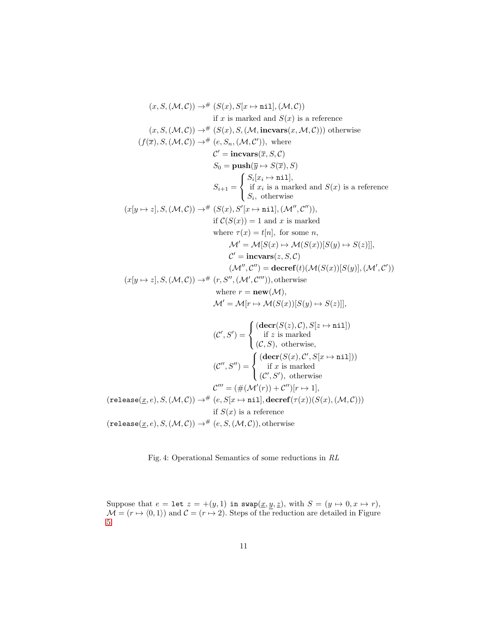<span id="page-10-0"></span> $(x, S, (M, C)) \rightarrow^{\#} (S(x), S[x \mapsto \text{nil}], (M, C))$ if x is marked and  $S(x)$  is a reference  $(x, S,(\mathcal{M}, \mathcal{C})) \rightarrow^{\#} (S(x), S,(\mathcal{M}, \text{incvars}(x,\mathcal{M}, \mathcal{C})))$  otherwise  $(f(\overline{x}), S, (M, C)) \rightarrow^{\#} (e, S_n, (M, C'))$ , where  $C' = \mathbf{incvars}(\overline{x}, S, C)$  $S_0 = \textbf{push}(\overline{y} \mapsto S(\overline{x}), S)$  $S_{i+1} =$  $\sqrt{ }$ J  $\mathcal{L}$  $S_i[x_i \mapsto \texttt{nil}],$ if  $x_i$  is a marked and  $S(x)$  is a reference  $S_i$ , otherwise  $(x[y \mapsto z], S,(\mathcal{M}, \mathcal{C})) \rightarrow^{\#} (S(x), S'[x \mapsto \texttt{nil}],(\mathcal{M}'', \mathcal{C}'')),$ if  $\mathcal{C}(S(x)) = 1$  and x is marked where  $\tau(x) = t[n]$ , for some *n*,  $\mathcal{M}' = \mathcal{M}[S(x) \mapsto \mathcal{M}(S(x))[S(y) \mapsto S(z)]],$  $C' = \mathbf{incvars}(z, S, C)$  $(\mathcal{M}'', \mathcal{C}'') = \text{decref}(t) (\mathcal{M}(S(x))[S(y)], (\mathcal{M}', \mathcal{C}'))$  $(x[y \mapsto z], S,(\mathcal{M}, \mathcal{C})) \rightarrow^{\#} (r, S'',(\mathcal{M}', \mathcal{C}'''))$ , otherwise where  $r = new(\mathcal{M}),$  $\mathcal{M}' = \mathcal{M}[r \mapsto \mathcal{M}(S(x))[S(y) \mapsto S(z)]],$  $(C', S') =$  $\sqrt{ }$  $\int$  $\mathcal{L}$  $(\mathbf{decr}(S(z),\mathcal{C}), S[z \mapsto \mathtt{nil}])$ if z is marked  $(C, S)$ , otherwise,  $(\mathcal{C}'', S'') =$  $\sqrt{ }$ J  $\mathcal{L}$  $(\mathbf{decr}(S(x),\mathcal{C}',S[x\mapsto \mathtt{nil}]))$ if  $x$  is marked  $(C', S')$ , otherwise  $\mathcal{C}''' = (\#(\mathcal{M}'(r)) + \mathcal{C}'')[r \mapsto 1],$  $(\mathtt{release}(\underline{x}, e), S, (\mathcal{M}, \mathcal{C})) \rightarrow^{\#} (e, S[x \mapsto \mathtt{nil}], \mathtt{decref}(\tau(x))(S(x), (\mathcal{M}, \mathcal{C})))$ if  $S(x)$  is a reference  $(\texttt{release}(x, e), S, (M, C)) \rightarrow^{\#} (e, S, (M, C)),$  otherwise

Fig. 4: Operational Semantics of some reductions in RL

Suppose that  $e = \text{let } z = +(y, 1)$  in  $\text{swap}(\underline{x}, y, \underline{z})$ , with  $S = (y \mapsto 0, x \mapsto r)$ ,  $\mathcal{M} = (r \mapsto \langle 0, 1 \rangle)$  and  $\mathcal{C} = (r \mapsto 2)$ . Steps of the reduction are detailed in Figure [5.](#page-11-0)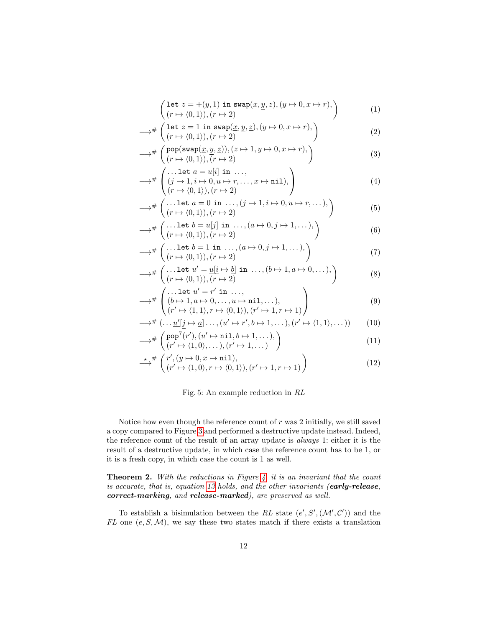$$
\begin{pmatrix}\n\text{let } z = +(y, 1) \text{ in } \text{swap}(\underline{x}, \underline{y}, \underline{z}), (y \mapsto 0, x \mapsto r), \\
(r \mapsto \langle 0, 1 \rangle), (r \mapsto 2)\n\end{pmatrix}
$$
\n(1)

<span id="page-11-0"></span>
$$
\longrightarrow^{\#} \left( \begin{array}{c} \text{let } z = 1 \text{ in } \text{swap}(\underline{x}, \underline{y}, \underline{z}), (y \mapsto 0, x \mapsto r), \\ (r \mapsto \langle 0, 1 \rangle), (r \mapsto 2) \end{array} \right) \tag{2}
$$

$$
\longrightarrow^{\#} \left( \text{pop(swap}(\underline{x}, \underline{y}, \underline{z})), (z \mapsto 1, y \mapsto 0, x \mapsto r), \\ (r \mapsto \langle 0, 1 \rangle), (r \mapsto 2) \right) \tag{3}
$$

$$
\longrightarrow^{\#} \left( \begin{array}{c} \dots \text{let } a = u[i] \text{ in } \dots, \\ (j \mapsto 1, i \mapsto 0, u \mapsto r, \dots, x \mapsto \text{nil}), \\ (r \mapsto \langle 0, 1 \rangle), (r \mapsto 2) \end{array} \right) \tag{4}
$$

$$
\longrightarrow^{\#} \left( \dots \text{let } a = 0 \text{ in } \dots, (j \mapsto 1, i \mapsto 0, u \mapsto r, \dots), \atop (r \mapsto \langle 0, 1 \rangle), (r \mapsto 2)
$$
 (5)

$$
\longrightarrow^{\#} \left( \dots \text{let } b = u[j] \text{ in } \dots, (a \mapsto 0, j \mapsto 1, \dots), \\ (r \mapsto \langle 0, 1 \rangle), (r \mapsto 2) \right) \tag{6}
$$

$$
\longrightarrow^{\#} \left( \dots \text{let } b = 1 \text{ in } \dots, (a \mapsto 0, j \mapsto 1, \dots), \\ (r \mapsto \langle 0, 1 \rangle), (r \mapsto 2) \right) \tag{7}
$$

$$
\longrightarrow^{\#} \left( \dots \text{let } u' = \underline{u}[\underline{i} \mapsto \underline{b}] \text{ in } \dots, (b \mapsto 1, a \mapsto 0, \dots), \atop (r \mapsto \langle 0, 1 \rangle), (r \mapsto 2)
$$
 (8)

$$
\longrightarrow^{\#} \left( \begin{array}{c} \ldots \text{let } u' = r' \text{ in } \ldots, \\ (b \mapsto 1, a \mapsto 0, \ldots, u \mapsto \text{nil}, \ldots), \\ (r' \mapsto \langle 1, 1 \rangle, r \mapsto \langle 0, 1 \rangle), (r' \mapsto 1, r \mapsto 1) \end{array} \right) \tag{9}
$$

$$
\longrightarrow^{\#} (\dots \underline{u'}[\underline{j} \mapsto \underline{a}] \dots, (u' \mapsto r', b \mapsto 1, \dots), (r' \mapsto \langle 1, 1 \rangle, \dots)) \tag{10}
$$

$$
\longrightarrow^{\#} \left( \begin{array}{c} \operatorname{pop}^7(r'), (u' \mapsto \operatorname{nil}, b \mapsto 1, \dots), \\ (r' \mapsto \langle 1, 0 \rangle, \dots), (r' \mapsto 1, \dots) \end{array} \right) \tag{11}
$$

$$
\xrightarrow{\star}^{\#} \begin{pmatrix} r', (y \mapsto 0, x \mapsto \text{nil}), \\ (r' \mapsto \langle 1, 0 \rangle, r \mapsto \langle 0, 1 \rangle), (r' \mapsto 1, r \mapsto 1) \end{pmatrix}
$$
 (12)

Fig. 5: An example reduction in RL

Notice how even though the reference count of  $r$  was 2 initially, we still saved a copy compared to Figure [3](#page-7-0) and performed a destructive update instead. Indeed, the reference count of the result of an array update is always 1: either it is the result of a destructive update, in which case the reference count has to be 1, or it is a fresh copy, in which case the count is 1 as well.

**Theorem 2.** With the reductions in Figure [4,](#page-10-0) it is an invariant that the count is accurate, that is, equation [13](#page-7-1) holds, and the other invariants  $(early-release,$ correct-marking, and release-marked), are preserved as well.

To establish a bisimulation between the RL state  $(e', S', (\mathcal{M}', \mathcal{C}'))$  and the  $FL$  one  $(e, S, M)$ , we say these two states match if there exists a translation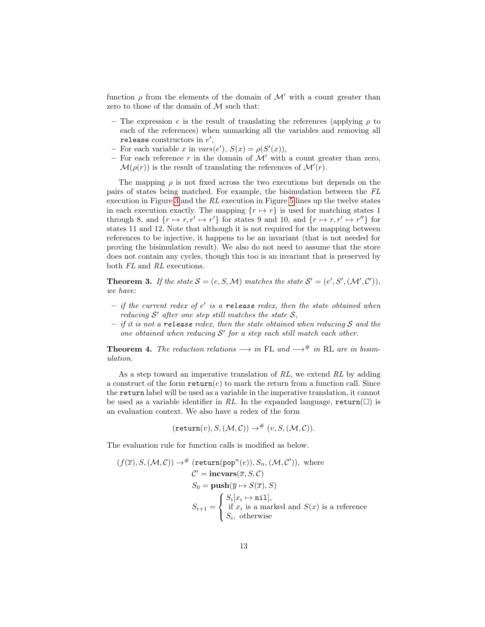function  $\rho$  from the elements of the domain of  $\mathcal{M}'$  with a count greater than zero to those of the domain of  $M$  such that:

- The expression e is the result of translating the references (applying  $\rho$  to each of the references) when unmarking all the variables and removing all release constructors in  $e'$ ,
- For each variable x in  $vars(e', S(x) = \rho(S'(x)),$
- For each reference r in the domain of  $\mathcal{M}'$  with a count greater than zero,  $\mathcal{M}(\rho(r))$  is the result of translating the references of  $\mathcal{M}'(r)$ .

The mapping  $\rho$  is not fixed across the two executions but depends on the pairs of states being matched. For example, the bisimulation between the FL execution in Figure [3](#page-7-0) and the RL execution in Figure [5](#page-11-0) lines up the twelve states in each execution exactly. The mapping  $\{r \mapsto r\}$  is used for matching states 1 through 8, and  $\{r \mapsto r, r' \mapsto r'\}$  for states 9 and 10, and  $\{r \mapsto r, r' \mapsto r''\}$  for states 11 and 12. Note that although it is not required for the mapping between references to be injective, it happens to be an invariant (that is not needed for proving the bisimulation result). We also do not need to assume that the store does not contain any cycles, though this too is an invariant that is preserved by both FL and RL executions.

**Theorem 3.** If the state  $S = (e, S, M)$  matches the state  $S' = (e', S', (M', C')),$ we have:

- $-$  if the current redex of  $e'$  is a **release** redex, then the state obtained when reducing  $\mathcal{S}'$  after one step still matches the state  $\mathcal{S},$
- $-$  if it is not a **release** redex, then the state obtained when reducing S and the one obtained when reducing  $S'$  for a step each still match each other.

**Theorem 4.** The reduction relations  $\longrightarrow$  in FL and  $\longrightarrow^{\#}$  in RL are in bisimulation.

As a step toward an imperative translation of RL, we extend RL by adding a construct of the form  $return(e)$  to mark the return from a function call. Since the return label will be used as a variable in the imperative translation, it cannot be used as a variable identifier in RL. In the expanded language,  $return(\Box)$  is an evaluation context. We also have a redex of the form

$$
(\texttt{return}(v), S, (\mathcal{M}, \mathcal{C})) \rightarrow^{\#} (v, S, (\mathcal{M}, \mathcal{C})).
$$

The evaluation rule for function calls is modified as below.

$$
(f(\overline{x}), S, (\mathcal{M}, \mathcal{C})) \to^{\#} (\text{return}(pop^n(e)), S_n, (\mathcal{M}, \mathcal{C}'))
$$
, where  

$$
\mathcal{C}' = \text{incvars}(\overline{x}, S, \mathcal{C})
$$

$$
S_0 = \text{push}(\overline{y} \mapsto S(\overline{x}), S)
$$

$$
S_{i+1} = \begin{cases} S_i[x_i \mapsto \text{nil}], \\ \text{if } x_i \text{ is a marked and } S(x) \text{ is a reference} \\ S_i, \text{ otherwise} \end{cases}
$$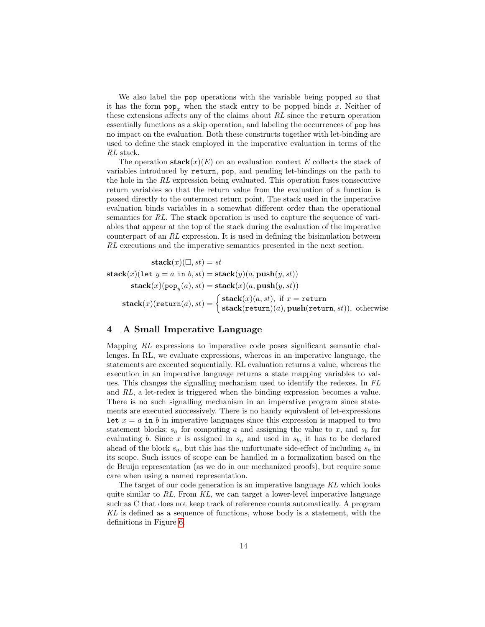We also label the pop operations with the variable being popped so that it has the form  $pop_x$  when the stack entry to be popped binds x. Neither of these extensions affects any of the claims about  $RL$  since the return operation essentially functions as a skip operation, and labeling the occurrences of pop has no impact on the evaluation. Both these constructs together with let-binding are used to define the stack employed in the imperative evaluation in terms of the RL stack.

The operation stack(x)(E) on an evaluation context E collects the stack of variables introduced by return, pop, and pending let-bindings on the path to the hole in the RL expression being evaluated. This operation fuses consecutive return variables so that the return value from the evaluation of a function is passed directly to the outermost return point. The stack used in the imperative evaluation binds variables in a somewhat different order than the operational semantics for RL. The **stack** operation is used to capture the sequence of variables that appear at the top of the stack during the evaluation of the imperative counterpart of an RL expression. It is used in defining the bisimulation between RL executions and the imperative semantics presented in the next section.

$$
\begin{aligned} \mathbf{stack}(x)(\Box, st) &= st \\ \mathbf{stack}(x)(\mathtt{let}\; y = a\; \mathtt{in}\; b, st) &= \mathbf{stack}(y)(a, \mathtt{push}(y, st)) \\ \mathbf{stack}(x)(\mathtt{pop}_y(a), st) &= \mathbf{stack}(x)(a, \mathtt{push}(y, st)) \\ \mathbf{stack}(x)(\mathtt{return}(a), st) &= \begin{cases} \mathbf{stack}(x)(a, st), \; \text{if}\; x = \mathtt{return} \\ \mathbf{stack}(\mathtt{return})(a), \mathtt{push}(\mathtt{return}, st)), \; \text{otherwise} \end{cases} \end{aligned}
$$

#### 4 A Small Imperative Language

Mapping RL expressions to imperative code poses significant semantic challenges. In RL, we evaluate expressions, whereas in an imperative language, the statements are executed sequentially. RL evaluation returns a value, whereas the execution in an imperative language returns a state mapping variables to values. This changes the signalling mechanism used to identify the redexes. In FL and RL, a let-redex is triggered when the binding expression becomes a value. There is no such signalling mechanism in an imperative program since statements are executed successively. There is no handy equivalent of let-expressions Let  $x = a$  in b in imperative languages since this expression is mapped to two statement blocks:  $s_a$  for computing a and assigning the value to x, and  $s_b$  for evaluating b. Since x is assigned in  $s_a$  and used in  $s_b$ , it has to be declared ahead of the block  $s_a$ , but this has the unfortunate side-effect of including  $s_a$  in its scope. Such issues of scope can be handled in a formalization based on the de Bruijn representation (as we do in our mechanized proofs), but require some care when using a named representation.

The target of our code generation is an imperative language KL which looks quite similar to  $RL$ . From  $KL$ , we can target a lower-level imperative language such as C that does not keep track of reference counts automatically. A program KL is defined as a sequence of functions, whose body is a statement, with the definitions in Figure [6.](#page-14-0)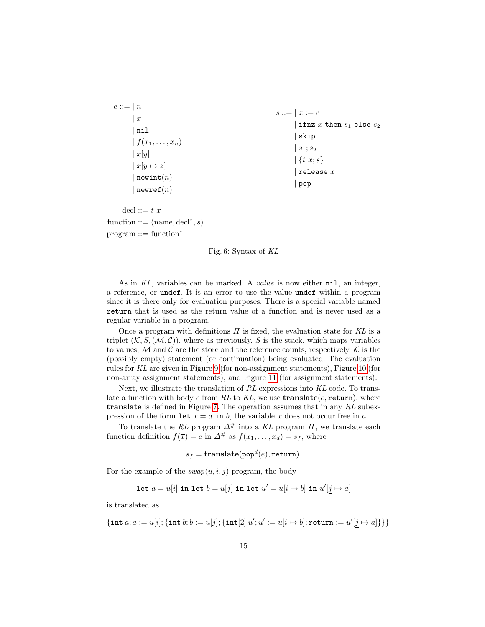<span id="page-14-0"></span> $e ::= | n$  $\mid x$ | nil  $| f(x_1, \ldots, x_n)|$  $\vert x[y]$  $|x|y \mapsto z|$  $|$  newint $(n)$ | newref $(n)$  $s ::= | x := e$ | ifnz  $x$  then  $s_1$  else  $s_2$ | skip  $| s_1; s_2$  $\vert \{t\;x;s\}$  $|$  release  $x$ | pop

decl  $:= t x$ function ::=  $(\text{name}, \text{decl}^*, s)$ program ::= function<sup>∗</sup>

Fig. 6: Syntax of KL

As in KL, variables can be marked. A *value* is now either nil, an integer, a reference, or undef. It is an error to use the value undef within a program since it is there only for evaluation purposes. There is a special variable named return that is used as the return value of a function and is never used as a regular variable in a program.

Once a program with definitions  $\Pi$  is fixed, the evaluation state for KL is a triplet  $(K, S, (\mathcal{M}, \mathcal{C}))$ , where as previously, S is the stack, which maps variables to values,  $M$  and  $C$  are the store and the reference counts, respectively.  $K$  is the (possibly empty) statement (or continuation) being evaluated. The evaluation rules for KL are given in Figure [9](#page-17-0) (for non-assignment statements), Figure [10](#page-18-0) (for non-array assignment statements), and Figure [11](#page-19-0) (for assignment statements).

Next, we illustrate the translation of RL expressions into KL code. To translate a function with body e from RL to KL, we use **translate**( $e$ , return), where translate is defined in Figure [7.](#page-15-0) The operation assumes that in any RL subexpression of the form let  $x = a$  in b, the variable x does not occur free in a.

To translate the RL program  $\Delta^{\#}$  into a KL program  $\Pi$ , we translate each function definition  $f(\overline{x}) = e$  in  $\Delta^{\#}$  as  $f(x_1, \ldots, x_d) = s_f$ , where

 $s_f = \textbf{translate}(\text{pop}^d(e), \texttt{return}).$ 

For the example of the  $swap(u, i, j)$  program, the body

let 
$$
a = u[i]
$$
 in let  $b = u[j]$  in let  $u' = \underline{u}[i \mapsto \underline{b}]$  in  $\underline{u'}[j \mapsto \underline{a}]$ 

is translated as

$$
\{{\tt int}\ a;a:=u[i]; \{{\tt int}\ b;b:=u[j]; \{{\tt int}[2]\ u';u':=\underline{u}[\underline{i}\mapsto\underline{b}]; {\tt return}:=\underline{u'}[\underline{j}\mapsto\underline{a}]\} \} \}
$$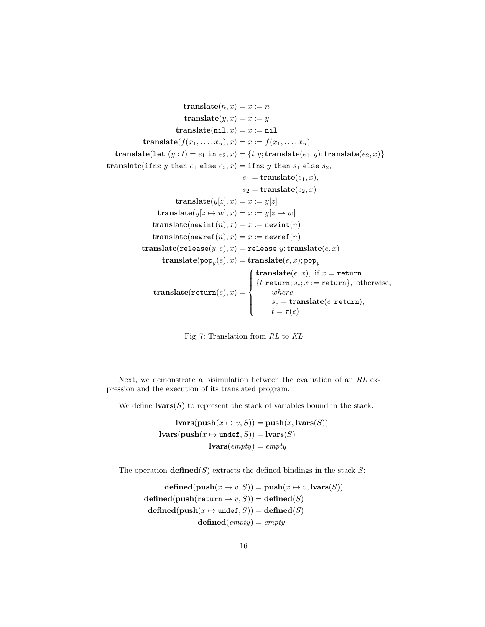```
translate(n, x) = x := ntranslate(y, x) = x := y
           translate(f(x_1, ..., x_n), x) = x := f(x_1, ..., x_n))
  translate(let (y : t) = e_1 in e_2, x) = {t y; translate(e_1, y); translate(e_2, x)}
translate(ifnz y then e_1 else e_2, x) = ifnz y then s_1 else s_2,
                                            s_1 =translate(e_1, x),
                                            s_2 = translate(e<sub>2</sub>, x)
                      translate(y[z], x) = x := y[z]translate(y[z \mapsto w], x) = x := y[z \mapsto w]
               translate(newref(n), x) = x := newref(n)translate(release(y, e), x) = release y; translate(e, x)
                  \mathrm{translate}(\mathsf{pop}_y(e), x) = \mathrm{translate}(e, x); \mathsf{pop}_y\texttt{translate}(\texttt{return}(e), x) =\sqrt{ }\int\overline{\mathcal{L}}\textbf{translate}(e, x), \, \, \text{if} \, \, x = \texttt{return}{t return; s_e; x := return}, otherwise,
                                                      where
                                                      s_e = \mathrm{translate}(e, \texttt{return}),t = \tau(e)
```
Fig. 7: Translation from RL to KL

Next, we demonstrate a bisimulation between the evaluation of an RL expression and the execution of its translated program.

We define  $\mathbf{lvars}(S)$  to represent the stack of variables bound in the stack.

 $lvars(push(x \mapsto v, S)) = push(x, lvars(S))$  $lvars(push(x \mapsto under, S)) = lvars(S)$  $lvars(*empty*) = *empty*$ 

The operation  $\mathbf{defined}(S)$  extracts the defined bindings in the stack S:

defined(push $(x \mapsto v, S)$ ) = push $(x \mapsto v, \text{lvars}(S))$  $defined(push(return \mapsto v, S)) = defined(S)$  $\text{defined}(\text{push}(x \mapsto \text{under}, S)) = \text{defined}(S)$  $defined(empty) = empty$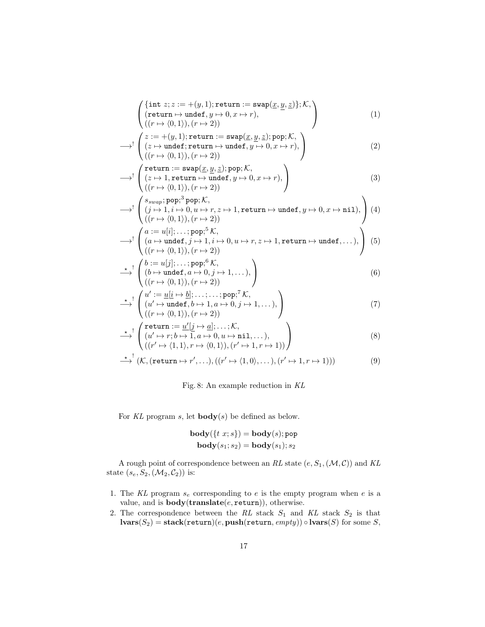<span id="page-16-0"></span>
$$
\begin{pmatrix}\n\{\text{int } z; z := +(y, 1); \text{return} := \text{swap}(\underline{x}, \underline{y}, \underline{z})\}; \mathcal{K}, \\
(\text{return } \mapsto \text{under}, y \mapsto 0, x \mapsto r), \\
((r \mapsto \langle 0, 1 \rangle), (r \mapsto 2))\n\end{pmatrix}
$$
\n(1)

$$
\longrightarrow ! \begin{pmatrix} z := +(y, 1); \text{return} := \text{swap}(x, y, z); \text{pop}; \mathcal{K}, \\ (z \mapsto \text{under}; \text{return} \mapsto \text{under}, y \mapsto 0, x \mapsto r), \\ ((r \mapsto \langle 0, 1 \rangle), (r \mapsto 2)) \end{pmatrix}
$$
(2)

$$
\rightarrow^{!} \begin{pmatrix} \text{return} := \text{swap}(\underline{x}, \underline{y}, \underline{z}); \text{pop}; \mathcal{K}, \\ (z \mapsto 1, \text{return} \mapsto \text{under}, y \mapsto 0, x \mapsto r), \\ ((r \mapsto \langle 0, 1 \rangle), (r \mapsto 2)) \end{pmatrix}
$$
(3)

$$
\longrightarrow ! \begin{pmatrix} s_{swap}; \text{pop}; ^3 \text{pop}; \mathcal{K}, \\ (j \mapsto 1, i \mapsto 0, u \mapsto r, z \mapsto 1, \text{return} \mapsto \text{under}, y \mapsto 0, x \mapsto \text{nil}), \\ ((r \mapsto \langle 0, 1 \rangle), (r \mapsto 2)) \\ (a := u[i]; \dots; \text{pop}; ^5 \mathcal{K}, \end{pmatrix} (4)
$$

$$
\longrightarrow^{!} \left( (a \mapsto \text{under}, j \mapsto 1, i \mapsto 0, u \mapsto r, z \mapsto 1, \text{return} \mapsto \text{under}, \dots), \right) (5)
$$
  

$$
((r \mapsto \langle 0, 1 \rangle), (r \mapsto 2))
$$

$$
\stackrel{\star}{\longrightarrow} \left\{ \begin{array}{ll} b := u[j]; \dots; \text{pop}; ^6 \mathcal{K}, \\ (b \mapsto \text{undef}, a \mapsto 0, j \mapsto 1, \dots), \\ ((r \mapsto \langle 0, 1 \rangle), (r \mapsto 2)) \end{array} \right\} \tag{6}
$$

$$
\stackrel{\star}{\longrightarrow} \left\{ \begin{aligned} u' &:= \underline{u}[\underline{i} \mapsto \underline{b}]; \dots; \dots; \text{pop};^7 \mathcal{K}, \\ (u' \mapsto \text{undef}, b \mapsto 1, a \mapsto 0, j \mapsto 1, \dots), \\ ((r \mapsto \langle 0, 1 \rangle), (r \mapsto 2)) \end{aligned} \right\} \tag{7}
$$

$$
\stackrel{\star}{\longrightarrow}\n\begin{pmatrix}\n\text{return} := \underline{u'}[j \mapsto \underline{a}]; \dots; \mathcal{K}, \\
(u' \mapsto r; b \mapsto 1, a \mapsto 0, u \mapsto \text{nil}, \dots), \\
((r' \mapsto \langle 1, 1 \rangle, r \mapsto \langle 0, 1 \rangle), (r' \mapsto 1, r \mapsto 1))\n\end{pmatrix}
$$
\n(8)

$$
\stackrel{\star}{\longrightarrow} (\mathcal{K}, (\text{return} \mapsto r', \ldots), ((r' \mapsto \langle 1, 0 \rangle, \ldots), (r' \mapsto 1, r \mapsto 1)))
$$
 (9)

Fig. 8: An example reduction in KL

For  $KL$  program s, let  $body(s)$  be defined as below.

$$
\textbf{body}(\{t|x;s\}) = \textbf{body}(s); \text{pop} \\ \textbf{body}(s_1;s_2) = \textbf{body}(s_1); s_2
$$

A rough point of correspondence between an  $RL$  state  $(e, S_1, (\mathcal{M}, \mathcal{C}))$  and  $KL$ state  $(s_e, S_2, (\mathcal{M}_2, \mathcal{C}_2))$  is:

- 1. The KL program  $s_e$  corresponding to  $e$  is the empty program when  $e$  is a value, and is  $\text{body}(\text{translate}(e, \text{return})),$  otherwise.
- 2. The correspondence between the  $RL$  stack  $S_1$  and  $KL$  stack  $S_2$  is that  $lvars(S_2) =$ stack(return)(e, push(return, empty))  $\circ$  lvars(S) for some S,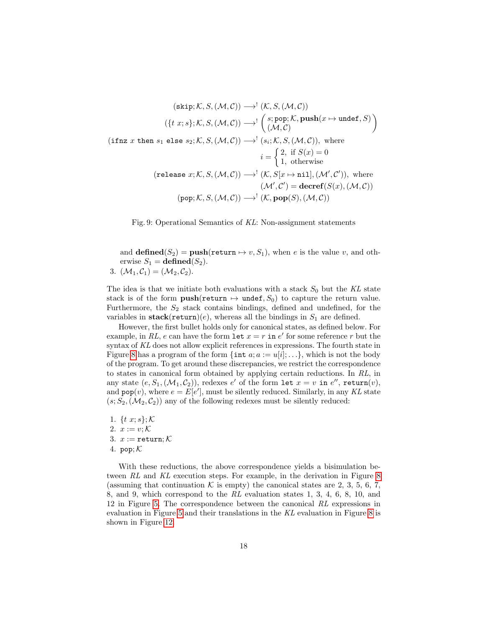<span id="page-17-0"></span>
$$
(\text{skip}; \mathcal{K}, S, (\mathcal{M}, \mathcal{C})) \longrightarrow^! (\mathcal{K}, S, (\mathcal{M}, \mathcal{C}))
$$
  

$$
(\{t \ x; s\}; \mathcal{K}, S, (\mathcal{M}, \mathcal{C})) \longrightarrow^! \begin{pmatrix} s; \text{pop}; \mathcal{K}, \text{push}(x \mapsto \text{under}, S) \\ (\mathcal{M}, \mathcal{C}) \end{pmatrix}
$$
  

$$
(\text{ifnz } x \text{ then } s_1 \text{ else } s_2; \mathcal{K}, S, (\mathcal{M}, \mathcal{C})) \longrightarrow^! (s_i; \mathcal{K}, S, (\mathcal{M}, \mathcal{C})), \text{ where}
$$

$$
i = \begin{cases} 2, \text{ if } S(x) = 0 \\ 1, \text{ otherwise} \end{cases}
$$
  

$$
(\text{release } x; \mathcal{K}, S, (\mathcal{M}, \mathcal{C})) \longrightarrow^! (\mathcal{K}, S[x \mapsto \text{nil}], (\mathcal{M}', \mathcal{C}')), \text{ where}
$$

$$
(\mathcal{M}', \mathcal{C}') = \text{decref}(S(x), (\mathcal{M}, \mathcal{C}))
$$

$$
(\text{pop}; \mathcal{K}, S, (\mathcal{M}, \mathcal{C})) \longrightarrow^! (\mathcal{K}, \text{pop}(S), (\mathcal{M}, \mathcal{C}))
$$

Fig. 9: Operational Semantics of KL: Non-assignment statements

and **defined**( $S_2$ ) = **push**(return  $\mapsto v$ ,  $S_1$ ), when e is the value v, and otherwise  $S_1 = \text{defined}(S_2)$ .

3.  $(\mathcal{M}_1, \mathcal{C}_1) = (\mathcal{M}_2, \mathcal{C}_2).$ 

The idea is that we initiate both evaluations with a stack  $S_0$  but the KL state stack is of the form  $\text{push}(\text{return} \rightarrow \text{under}, S_0)$  to capture the return value. Furthermore, the  $S_2$  stack contains bindings, defined and undefined, for the variables in stack(return)(e), whereas all the bindings in  $S_1$  are defined.

However, the first bullet holds only for canonical states, as defined below. For example, in RL, e can have the form let  $x = r$  in e' for some reference r but the syntax of KL does not allow explicit references in expressions. The fourth state in Figure [8](#page-16-0) has a program of the form  $\{\text{int } a: a := u[i]; \ldots\}$ , which is not the body of the program. To get around these discrepancies, we restrict the correspondence to states in canonical form obtained by applying certain reductions. In RL, in any state  $(e, S_1, (\mathcal{M}_1, \mathcal{C}_2))$ , redexes  $e'$  of the form let  $x = v$  in  $e''$ , return $(v)$ , and  $\text{pop}(v)$ , where  $e = E[e']$ , must be silently reduced. Similarly, in any KL state  $(s; S_2, (\mathcal{M}_2, \mathcal{C}_2))$  any of the following redexes must be silently reduced:

1. { $t x; s$ }; K 2.  $x := v$ ; K 3.  $x := \text{return}; \mathcal{K}$ 4. pop;  $K$ 

With these reductions, the above correspondence yields a bisimulation between RL and KL execution steps. For example, in the derivation in Figure [8](#page-16-0) (assuming that continuation K is empty) the canonical states are 2, 3, 5, 6, 7, 8, and 9, which correspond to the RL evaluation states 1, 3, 4, 6, 8, 10, and 12 in Figure [5.](#page-11-0) The correspondence between the canonical RL expressions in evaluation in Figure [5](#page-11-0) and their translations in the KL evaluation in Figure [8](#page-16-0) is shown in Figure [12.](#page-18-1)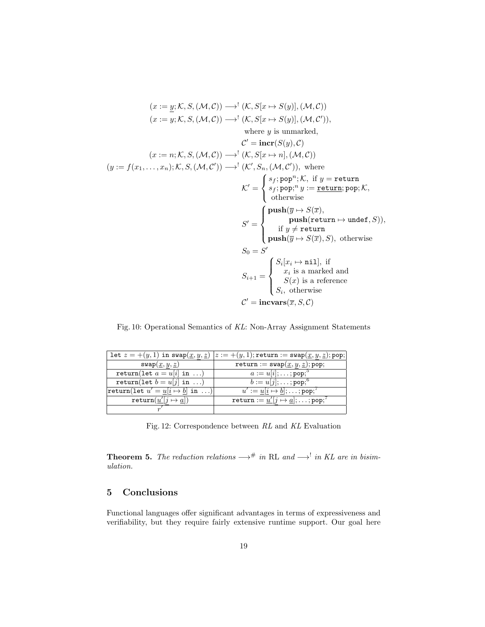<span id="page-18-0"></span>
$$
(x := y; K, S, (\mathcal{M}, \mathcal{C})) \rightarrow^{\perp} (\mathcal{K}, S[x \mapsto S(y)], (\mathcal{M}, \mathcal{C}))
$$
  
\n
$$
(x := y; K, S, (\mathcal{M}, \mathcal{C})) \rightarrow^{\perp} (\mathcal{K}, S[x \mapsto S(y)], (\mathcal{M}, \mathcal{C}'))
$$
  
\nwhere y is unmarked,  
\n
$$
\mathcal{C}' = \mathbf{incr}(S(y), \mathcal{C})
$$
  
\n
$$
(x := n; K, S, (\mathcal{M}, \mathcal{C})) \rightarrow^{\perp} (\mathcal{K}, S[x \mapsto n], (\mathcal{M}, \mathcal{C}))
$$
  
\n
$$
(y := f(x_1, ..., x_n); \mathcal{K}, S, (\mathcal{M}, \mathcal{C}')) \rightarrow^{\perp} (\mathcal{K}', S_n, (\mathcal{M}, \mathcal{C}'))
$$
, where  
\n
$$
\mathcal{K}' = \begin{cases} s_f; \text{pop}^n; \mathcal{K}, \text{ if } y = \text{return} \\ s_f; \text{pop}^n; \mathcal{V} := \text{return} \\ \text{path}(\overline{y} \mapsto S(\overline{x}), \\ \text{push}(x \mapsto y \mapsto \text{return}) \end{cases}
$$
  
\n
$$
S' = \begin{cases} \text{push}(\overline{y} \mapsto S(\overline{x}), \\ \text{push}(x \mapsto y \mapsto \text{return}) \\ \text{push}(\overline{y} \mapsto S(\overline{x}), S), \text{ otherwise} \end{cases}
$$
  
\n
$$
S_0 = S'
$$
  
\n
$$
S_{i+1} = \begin{cases} S_i[x_i \mapsto \text{nil}], \text{ if } \\ x_i \text{ is a marked and} \\ S(x) \text{ is a reference} \\ S_i, \text{ otherwise} \end{cases}
$$
  
\n
$$
\mathcal{C}' = \text{incvars}(\overline{x}, S, \mathcal{C})
$$

Fig. 10: Operational Semantics of KL: Non-Array Assignment Statements

<span id="page-18-1"></span>

|                                                                                                           | let $z = +(y,1)$ in $\textsf{swap}(\underline{x},y,\underline{z})   z := +(y,1);$ return := $\textsf{swap}(\underline{x},y,\underline{z});$ pop; |
|-----------------------------------------------------------------------------------------------------------|--------------------------------------------------------------------------------------------------------------------------------------------------|
| $\verb swap ( \underline{x}, y, \underline{z})$                                                           | $return := \texttt{swap}(\underline{x}, y, \underline{z});$ pop;                                                                                 |
| return(let $a = u[i]$ in )                                                                                | $a := u[i]; \ldots; \text{pop};^5$                                                                                                               |
| return(let $b = u[j]$ in )                                                                                | $b := u[j]; \ldots; \text{pop};^6$                                                                                                               |
| $ \texttt{return}(\texttt{let } u' = \underline{u}[\underline{i} \mapsto \underline{b}] \texttt{ in } ) $ | $u' := \underline{u}[i \mapsto \underline{b}]; \dots; \mathtt{pop};$                                                                             |
| $return(\underline{u'}[j \mapsto \underline{a}])$                                                         | $\texttt{return} := \underline{u'[j \mapsto \underline{a}]; \ldots; \texttt{pop};^7}$                                                            |
|                                                                                                           |                                                                                                                                                  |

Fig. 12: Correspondence between RL and KL Evaluation

**Theorem 5.** The reduction relations  $\rightarrow^{\#}$  in RL and  $\rightarrow^{\dagger}$  in KL are in bisimulation.

# 5 Conclusions

Functional languages offer significant advantages in terms of expressiveness and verifiability, but they require fairly extensive runtime support. Our goal here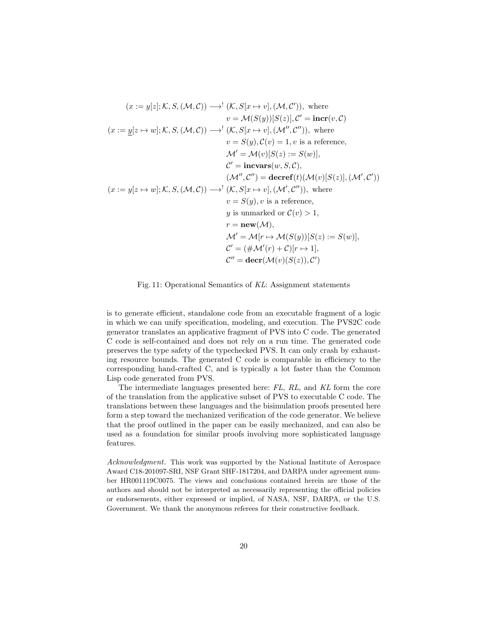<span id="page-19-0"></span>
$$
(x := y[z]; \mathcal{K}, S, (\mathcal{M}, \mathcal{C})) \longrightarrow^! (\mathcal{K}, S[x \mapsto v], (\mathcal{M}, \mathcal{C}'))
$$
, where  
\n
$$
v = \mathcal{M}(S(y))[S(z)], \mathcal{C}' = \mathbf{incr}(v, \mathcal{C})
$$
  
\n
$$
(x := y[z \mapsto w]; \mathcal{K}, S, (\mathcal{M}, \mathcal{C})) \longrightarrow^! (\mathcal{K}, S[x \mapsto v], (\mathcal{M}'', \mathcal{C}''))
$$
, where  
\n
$$
v = S(y), \mathcal{C}(v) = 1, v \text{ is a reference},
$$
  
\n
$$
\mathcal{M}' = \mathcal{M}(v)[S(z) := S(w)],
$$
  
\n
$$
\mathcal{C}' = \mathbf{incvars}(w, S, \mathcal{C}),
$$
  
\n
$$
(\mathcal{M}'', \mathcal{C}'') = \mathbf{decref}(t)(\mathcal{M}(v)[S(z)], (\mathcal{M}', \mathcal{C}'))
$$
  
\n
$$
(x := y[z \mapsto w]; \mathcal{K}, S, (\mathcal{M}, \mathcal{C})) \longrightarrow^! (\mathcal{K}, S[x \mapsto v], (\mathcal{M}', \mathcal{C}''))
$$
, where  
\n
$$
v = S(y), v \text{ is a reference},
$$
  
\n
$$
y \text{ is unmarked or } \mathcal{C}(v) > 1,
$$
  
\n
$$
r = \mathbf{new}(\mathcal{M}),
$$
  
\n
$$
\mathcal{M}' = \mathcal{M}[r \mapsto \mathcal{M}(S(y))[S(z) := S(w)],
$$
  
\n
$$
\mathcal{C}' = (\# \mathcal{M}'(r) + \mathcal{C})[r \mapsto 1],
$$
  
\n
$$
\mathcal{C}'' = \mathbf{decr}(\mathcal{M}(v)(S(z)), \mathcal{C}')
$$

Fig. 11: Operational Semantics of KL: Assignment statements

is to generate efficient, standalone code from an executable fragment of a logic in which we can unify specification, modeling, and execution. The PVS2C code generator translates an applicative fragment of PVS into C code. The generated C code is self-contained and does not rely on a run time. The generated code preserves the type safety of the typechecked PVS. It can only crash by exhausting resource bounds. The generated C code is comparable in efficiency to the corresponding hand-crafted C, and is typically a lot faster than the Common Lisp code generated from PVS.

The intermediate languages presented here: FL, RL, and KL form the core of the translation from the applicative subset of PVS to executable C code. The translations between these languages and the bisimulation proofs presented here form a step toward the mechanized verification of the code generator. We believe that the proof outlined in the paper can be easily mechanized, and can also be used as a foundation for similar proofs involving more sophisticated language features.

Acknowledgment. This work was supported by the National Institute of Aerospace Award C18-201097-SRI, NSF Grant SHF-1817204, and DARPA under agreement number HR001119C0075. The views and conclusions contained herein are those of the authors and should not be interpreted as necessarily representing the official policies or endorsements, either expressed or implied, of NASA, NSF, DARPA, or the U.S. Government. We thank the anonymous referees for their constructive feedback.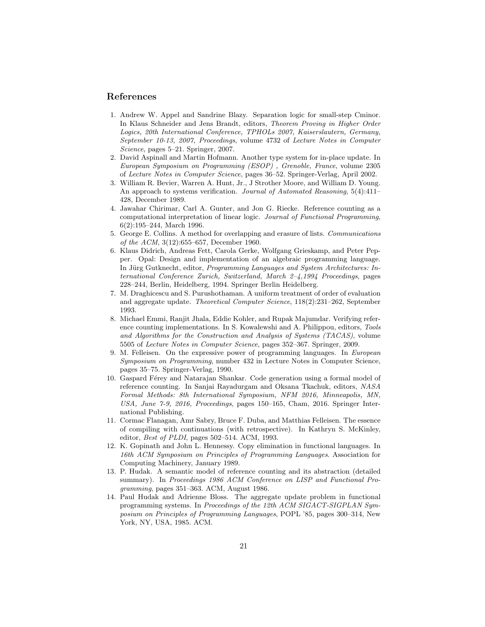#### References

- <span id="page-20-3"></span>1. Andrew W. Appel and Sandrine Blazy. Separation logic for small-step Cminor. In Klaus Schneider and Jens Brandt, editors, Theorem Proving in Higher Order Logics, 20th International Conference, TPHOLs 2007, Kaiserslautern, Germany, September 10-13, 2007, Proceedings, volume 4732 of Lecture Notes in Computer Science, pages 5–21. Springer, 2007.
- <span id="page-20-10"></span>2. David Aspinall and Martin Hofmann. Another type system for in-place update. In European Symposium on Programming (ESOP) , Grenoble, France, volume 2305 of Lecture Notes in Computer Science, pages 36–52. Springer-Verlag, April 2002.
- <span id="page-20-13"></span>3. William R. Bevier, Warren A. Hunt, Jr., J Strother Moore, and William D. Young. An approach to systems verification. Journal of Automated Reasoning, 5(4):411– 428, December 1989.
- <span id="page-20-11"></span>4. Jawahar Chirimar, Carl A. Gunter, and Jon G. Riecke. Reference counting as a computational interpretation of linear logic. Journal of Functional Programming, 6(2):195–244, March 1996.
- <span id="page-20-4"></span>5. George E. Collins. A method for overlapping and erasure of lists. Communications of the ACM, 3(12):655–657, December 1960.
- <span id="page-20-12"></span>6. Klaus Didrich, Andreas Fett, Carola Gerke, Wolfgang Grieskamp, and Peter Pepper. Opal: Design and implementation of an algebraic programming language. In Jürg Gutknecht, editor, *Programming Languages and System Architectures: In*ternational Conference Zurich, Switzerland, March 2–4,1994 Proceedings, pages 228–244, Berlin, Heidelberg, 1994. Springer Berlin Heidelberg.
- <span id="page-20-8"></span>7. M. Draghicescu and S. Purushothaman. A uniform treatment of order of evaluation and aggregate update. Theoretical Computer Science, 118(2):231–262, September 1993.
- <span id="page-20-5"></span>8. Michael Emmi, Ranjit Jhala, Eddie Kohler, and Rupak Majumdar. Verifying reference counting implementations. In S. Kowalewshi and A. Philippou, editors, Tools and Algorithms for the Construction and Analysis of Systems (TACAS), volume 5505 of Lecture Notes in Computer Science, pages 352–367. Springer, 2009.
- <span id="page-20-2"></span>9. M. Felleisen. On the expressive power of programming languages. In European Symposium on Programming, number 432 in Lecture Notes in Computer Science, pages 35–75. Springer-Verlag, 1990.
- <span id="page-20-0"></span>10. Gaspard F´erey and Natarajan Shankar. Code generation using a formal model of reference counting. In Sanjai Rayadurgam and Oksana Tkachuk, editors, NASA Formal Methods: 8th International Symposium, NFM 2016, Minneapolis, MN, USA, June 7-9, 2016, Proceedings, pages 150–165, Cham, 2016. Springer International Publishing.
- <span id="page-20-1"></span>11. Cormac Flanagan, Amr Sabry, Bruce F. Duba, and Matthias Felleisen. The essence of compiling with continuations (with retrospective). In Kathryn S. McKinley, editor, Best of PLDI, pages 502–514. ACM, 1993.
- <span id="page-20-9"></span>12. K. Gopinath and John L. Hennessy. Copy elimination in functional languages. In 16th ACM Symposium on Principles of Programming Languages. Association for Computing Machinery, January 1989.
- <span id="page-20-6"></span>13. P. Hudak. A semantic model of reference counting and its abstraction (detailed summary). In Proceedings 1986 ACM Conference on LISP and Functional Pro $gramming$ , pages 351–363. ACM, August 1986.
- <span id="page-20-7"></span>14. Paul Hudak and Adrienne Bloss. The aggregate update problem in functional programming systems. In Proceedings of the 12th ACM SIGACT-SIGPLAN Symposium on Principles of Programming Languages, POPL '85, pages 300–314, New York, NY, USA, 1985. ACM.